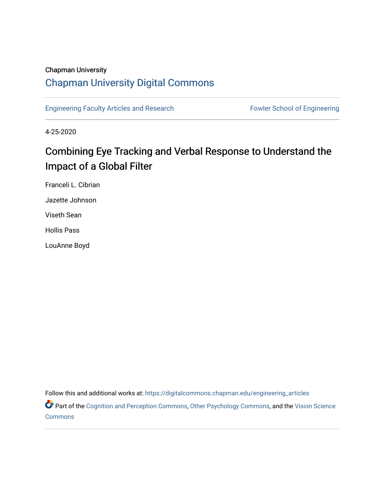## Chapman University

## [Chapman University Digital Commons](https://digitalcommons.chapman.edu/)

[Engineering Faculty Articles and Research](https://digitalcommons.chapman.edu/engineering_articles) Fowler School of Engineering

4-25-2020

## Combining Eye Tracking and Verbal Response to Understand the Impact of a Global Filter

Franceli L. Cibrian

Jazette Johnson

Viseth Sean

Hollis Pass

LouAnne Boyd

Follow this and additional works at: [https://digitalcommons.chapman.edu/engineering\\_articles](https://digitalcommons.chapman.edu/engineering_articles?utm_source=digitalcommons.chapman.edu%2Fengineering_articles%2F108&utm_medium=PDF&utm_campaign=PDFCoverPages) 

Part of the [Cognition and Perception Commons,](http://network.bepress.com/hgg/discipline/407?utm_source=digitalcommons.chapman.edu%2Fengineering_articles%2F108&utm_medium=PDF&utm_campaign=PDFCoverPages) [Other Psychology Commons,](http://network.bepress.com/hgg/discipline/415?utm_source=digitalcommons.chapman.edu%2Fengineering_articles%2F108&utm_medium=PDF&utm_campaign=PDFCoverPages) and the Vision Science [Commons](http://network.bepress.com/hgg/discipline/238?utm_source=digitalcommons.chapman.edu%2Fengineering_articles%2F108&utm_medium=PDF&utm_campaign=PDFCoverPages)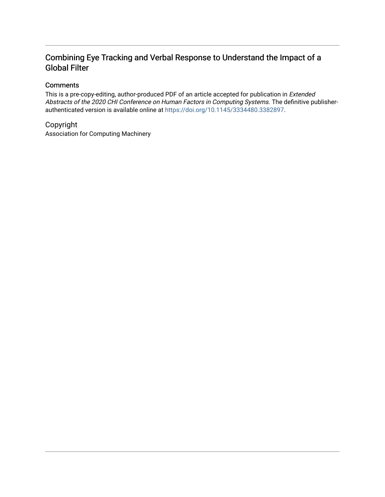## Combining Eye Tracking and Verbal Response to Understand the Impact of a Global Filter

## **Comments**

This is a pre-copy-editing, author-produced PDF of an article accepted for publication in Extended Abstracts of the 2020 CHI Conference on Human Factors in Computing Systems. The definitive publisherauthenticated version is available online at [https://doi.org/10.1145/3334480.3382897.](https://doi.org/10.1145/3334480.3382897)

## Copyright

Association for Computing Machinery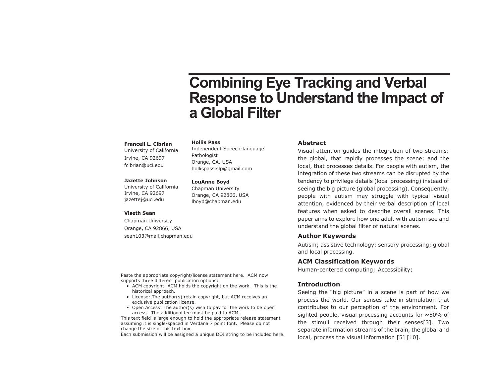# **Combining Eye Tracking and Verbal Response to Understand the Impact of a Global Filter**

#### **Franceli L. Cibrian**

University of California Irvine, CA 92697 fcibrian@uci.edu

#### **Jazette Johnson**

University of California Irvine, CA 92697 jazettej@uci.edu

#### **Viseth Sean**

Chapman University Orange, CA 92866, USA sean103@mail.chapman.edu

Paste the appropriate copyright/license statement here. ACM now supports three different publication options:

- ACM copyright: ACM holds the copyright on the work. This is the historical approach.
- License: The author(s) retain copyright, but ACM receives an exclusive publication license.
- Open Access: The author(s) wish to pay for the work to be open access. The additional fee must be paid to ACM.

This text field is large enough to hold the appropriate release statement assuming it is single-spaced in Verdana 7 point font. Please do not change the size of this text box.

Each submission will be assigned a unique DOI string to be included here.

#### **Hollis Pass**

Independent Speech-language Pathologist Orange, CA. USA hollispass.slp@gmail.com

#### **LouAnne Boyd**

Chapman University Orange, CA 92866, USA lboyd@chapman.edu

#### **Abstract**

Visual attention guides the integration of two streams: the global, that rapidly processes the scene; and the local, that processes details. For people with autism, the integration of these two streams can be disrupted by the tendency to privilege details (local processing) instead of seeing the big picture (global processing). Consequently, people with autism may struggle with typical visual attention, evidenced by their verbal description of local features when asked to describe overall scenes. This paper aims to explore how one adult with autism see and understand the global filter of natural scenes.

#### **Author Keywords**

Autism; assistive technology; sensory processing; global and local processing.

#### **ACM Classification Keywords**

Human-centered computing; Accessibility;

#### **Introduction**

Seeing the "big picture" in a scene is part of how we process the world. Our senses take in stimulation that contributes to our perception of the environment. For sighted people, visual processing accounts for  $\sim$  50% of the stimuli received through their senses[3]. Two separate information streams of the brain, the global and local, process the visual information [5] [10].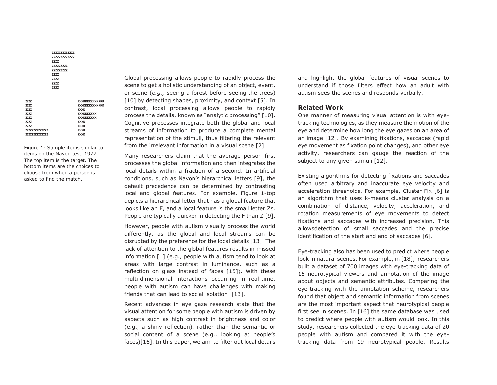**ZZZZZZZZZZZZZZZ** 7777777777777 **ZZZZ** 222222222 777777777 zzzz **ZZZZ** 7777 7777 **KKKKKKKKKKKKKKK KKKKKKKKKKKKKKK** KKKK **KKKKKKKKKKK KKKKKKKKKKK KKKK KKKK** 

**ZZZZ** 

zzzz

7777

7777 **ZZZZ** 

**ZZZZ** 

**ZZZZ** 

**ZZZZZZZZZZZZZZZZ** 

**ZZZZZZZZZZZZZZZZ** 

Figure 1: Sample items similar to items on the Navon test, 1977. The top item is the target. The bottom items are the choices to choose from when a person is asked to find the match.

**KKKK** 

**KKKK** 

Global processing allows people to rapidly process the scene to get a holistic understanding of an object, event, or scene (*e.g.,* seeing a forest before seeing the trees) [10] by detecting shapes, proximity, and context [5]. In contrast, local processing allows people to rapidly process the details, known as "analytic processing" [10]. Cognitive processes integrate both the global and local streams of information to produce a complete mental representation of the stimuli, thus filtering the relevant from the irrelevant information in a visual scene [2].

Many researchers claim that the average person first processes the global information and then integrates the local details within a fraction of a second. In artificial conditions, such as Navon's hierarchical letters [9], the default precedence can be determined by contrasting local and global features. For example, Figure 1-top depicts a hierarchical letter that has a global feature that looks like an F, and a local feature is the small letter Zs. People are typically quicker in detecting the F than Z [9].

However, people with autism visually process the world differently, as the global and local streams can be disrupted by the preference for the local details [13]. The lack of attention to the global features results in missed information [1] (e.g., people with autism tend to look at areas with large contrast in luminance, such as a reflection on glass instead of faces [15]). With these multi-dimensional interactions occurring in real-time, people with autism can have challenges with making friends that can lead to social isolation [13].

Recent advances in eye gaze research state that the visual attention for some people with autism is driven by aspects such as high contrast in brightness and color (e.g., a shiny reflection), rather than the semantic or social content of a scene (e.g., looking at people's faces)[16]. In this paper, we aim to filter out local details

and highlight the global features of visual scenes to understand if those filters effect how an adult with autism sees the scenes and responds verbally.

#### **Related Work**

One manner of measuring visual attention is with eyetracking technologies, as they measure the motion of the eye and determine how long the eye gazes on an area of an image [12]. By examining fixations, saccades (rapid eye movement as fixation point changes), and other eye activity, researchers can gauge the reaction of the subject to any given stimuli [12].

Existing algorithms for detecting fixations and saccades often used arbitrary and inaccurate eye velocity and acceleration thresholds. For example, Cluster Fix [6] is an algorithm that uses k-means cluster analysis on a combination of distance, velocity, acceleration, and rotation measurements of eye movements to detect fixations and saccades with increased precision. This allowsdetection of small saccades and the precise identification of the start and end of saccades [6].

Eye-tracking also has been used to predict where people look in natural scenes. For example, in [18], researchers built a dataset of 700 images with eye-tracking data of 15 neurotypical viewers and annotation of the image about objects and semantic attributes. Comparing the eye-tracking with the annotation scheme, researchers found that object and semantic information from scenes are the most important aspect that neurotypical people first see in scenes. In [16] the same database was used to predict where people with autism would look. In this study, researchers collected the eye-tracking data of 20 people with autism and compared it with the eyetracking data from 19 neurotypical people. Results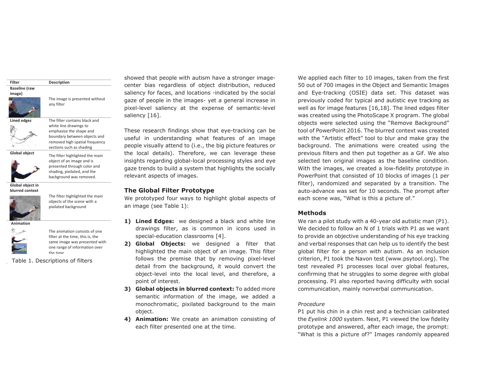#### **Baseline (raw**



The image is presented without any filter

**Lined edges** The filter contains black and



**Description**

emphasize the shape and boundary between objects and removed high spatial frequency sections such as shading

**Global object** The filter highlighted the main



object of an image and is presented through color and shading, pixilated, and the background was removed.

**Global object in blurred context** 



The filter highlighted the main objects of the scene with a pixilated background

 **Animation** 



The animation consists of one filter at the time, this is, the same image was presented with one range of information over the time

Table 1. Descriptions of filters

showed that people with autism have a stronger imagecenter bias regardless of object distribution, reduced saliency for faces, and locations -indicated by the social gaze of people in the images- yet a general increase in pixel-level saliency at the expense of semantic-level saliency [16].

These research findings show that eye-tracking can be useful in understanding what features of an image people visually attend to (i.e., the big picture features or the local details). Therefore, we can leverage these insights regarding global-local processing styles and eye gaze trends to build a system that highlights the socially relevant aspects of images.

#### **The Global Filter Prototype**

We prototyped four ways to highlight global aspects of an image (see Table 1):

- **1) Lined Edges:** we designed a black and white line drawings filter, as is common in icons used in special-education classrooms [4].
- **2) Global Objects:** we designed a filter that highlighted the main object of an image. This filter follows the premise that by removing pixel-level detail from the background, it would convert the object-level into the local level, and therefore, a point of interest.
- **3) Global objects in blurred context:** To added more semantic information of the image, we added a monochromatic, pixilated background to the main object.
- **4) Animation:** We create an animation consisting of each filter presented one at the time.

We applied each filter to 10 images, taken from the first 50 out of 700 images in the Object and Semantic Images and Eye-tracking (OSIE) data set. This dataset was previously coded for typical and autistic eye tracking as well as for image features [16,18]. The lined edges filter was created using the PhotoScape X program. The global objects were selected using the "Remove Background" tool of PowerPoint 2016. The blurred context was created with the "Artistic effect" tool to blur and make gray the background. The animations were created using the previous filters and then put together as a Gif. We also selected ten original images as the baseline condition. With the images, we created a low-fidelity prototype in PowerPoint that consisted of 10 blocks of images (1 per filter), randomized and separated by a transition. The auto-advance was set for 10 seconds. The prompt after each scene was, "What is this a picture of."

#### **Methods**

We ran a pilot study with a 40-year old autistic man (P1). We decided to follow an N of 1 trials with P1 as we want to provide an objective understanding of his eye tracking and verbal responses that can help us to identify the best global filter for a person with autism. As an inclusion criterion, P1 took the Navon test (www.psytool.org). The test revealed P1 processes local over global features, confirming that he struggles to some degree with global processing. P1 also reported having difficulty with social communication, mainly nonverbal communication.

#### *Procedure*

P1 put his chin in a chin rest and a technician calibrated the *Eyelink 1000* system. Next, P1 viewed the low fidelity prototype and answered, after each image, the prompt: "What is this a picture of?" Images randomly appeared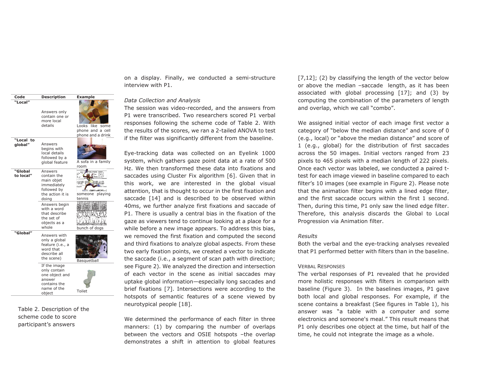

Table 2. Description of the scheme code to score participant's answers

on a display. Finally, we conducted a semi-structure interview with P1.

#### *Data Collection and Analysis*

The session was video-recorded, and the answers from P1 were transcribed. Two researchers scored P1 verbal responses following the scheme code of Table 2. With the results of the scores, we ran a 2-tailed ANOVA to test if the filter was significantly different from the baseline.

Eye-tracking data was collected on an Eyelink 1000 system, which gathers gaze point data at a rate of 500 Hz. We then transformed these data into fixations and saccades using Cluster Fix algorithm [6]. Given that in this work, we are interested in the global visual attention, that is thought to occur in the first fixation and saccade [14] and is described to be observed within 40ms, we further analyze first fixations and saccade of P1. There is usually a central bias in the fixation of the gaze as viewers tend to continue looking at a place for a while before a new image appears. To address this bias, we removed the first fixation and computed the second and third fixations to analyze global aspects. From these two early fixation points, we created a vector to indicate the saccade (i.e., a segment of scan path with direction; see Figure 2). We analyzed the direction and intersection of each vector in the scene as initial saccades may uptake global information—especially long saccades and brief fixations [7]. Intersections were according to the hotspots of semantic features of a scene viewed by neurotypical people [18].

We determined the performance of each filter in three manners: (1) by comparing the number of overlaps between the vectors and OSIE hotspots –the overlap demonstrates a shift in attention to global features [7,12]; (2) by classifying the length of the vector below or above the median –saccade length, as it has been associated with global processing [17]; and (3) by computing the combination of the parameters of length and overlap, which we call "combo".

We assigned initial vector of each image first vector a category of "below the median distance" and score of 0 (e.g., local) or "above the median distance" and score of 1 (e.g., global) for the distribution of first saccades across the 50 images. Initial vectors ranged from 23 pixels to 465 pixels with a median length of 222 pixels. Once each vector was labeled, we conducted a paired ttest for each image viewed in baseline compared to each filter's 10 images (see example in Figure 2). Please note that the animation filter begins with a lined edge filter, and the first saccade occurs within the first 1 second. Then, during this time, P1 only saw the lined edge filter. Therefore, this analysis discards the Global to Local Progression via Animation filter.

#### *Results*

Both the verbal and the eye-tracking analyses revealed that P1 performed better with filters than in the baseline.

#### VERBAL RESPONSES

The verbal responses of P1 revealed that he provided more holistic responses with filters in comparison with baseline (Figure 3). In the baselines images, P1 gave both local and global responses. For example, if the scene contains a breakfast (See figures in Table 1), his answer was "a table with a computer and some electronics and someone's meal." This result means that P1 only describes one object at the time, but half of the time, he could not integrate the image as a whole.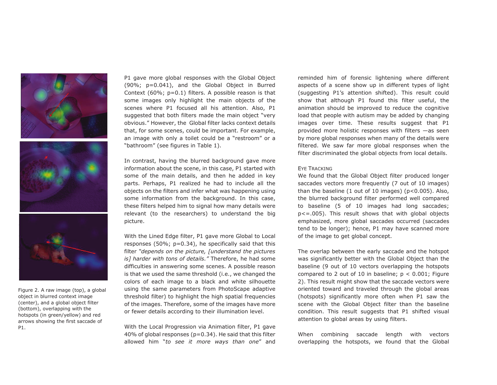





Figure 2. A raw image (top), a global object in blurred context image (center), and a global object filter (bottom), overlapping with the hotspots (in green/yellow) and red arrows showing the first saccade of P1.

P1 gave more global responses with the Global Object (90%; p=0.041), and the Global Object in Burred Context (60%;  $p=0.1$ ) filters. A possible reason is that some images only highlight the main objects of the scenes where P1 focused all his attention. Also, P1 suggested that both filters made the main object "very obvious." However, the Global filter lacks context details that, for some scenes, could be important. For example, an image with only a toilet could be a "restroom" or a "bathroom" (see figures in Table 1).

In contrast, having the blurred background gave more information about the scene, in this case, P1 started with some of the main details, and then he added in key parts. Perhaps, P1 realized he had to include all the objects on the filters and infer what was happening using some information from the background. In this case, these filters helped him to signal how many details were relevant (to the researchers) to understand the big picture.

With the Lined Edge filter, P1 gave more Global to Local responses (50%; p=0.34), he specifically said that this filter *"depends on the picture, [understand the pictures is] harder with tons of details."* Therefore, he had some difficulties in answering some scenes. A possible reason is that we used the same threshold (i.e., we changed the colors of each image to a black and white silhouette using the same parameters from PhotoScape adaptive threshold filter) to highlight the high spatial frequencies of the images. Therefore, some of the images have more or fewer details according to their illumination level.

With the Local Progression via Animation filter, P1 gave 40% of global responses ( $p=0.34$ ). He said that this filter allowed him "*to see it more ways than one*" and reminded him of forensic lightening where different aspects of a scene show up in different types of light (suggesting P1's attention shifted). This result could show that although P1 found this filter useful, the animation should be improved to reduce the cognitive load that people with autism may be added by changing images over time. These results suggest that P1 provided more holistic responses with filters —as seen by more global responses when many of the details were filtered. We saw far more global responses when the filter discriminated the global objects from local details.

#### EYE TRACKING

We found that the Global Object filter produced longer saccades vectors more frequently (7 out of 10 images) than the baseline  $(1 \text{ out of } 10 \text{ images})$   $(p<0.005)$ . Also, the blurred background filter performed well compared to baseline (5 of 10 images had long saccades; p<=.005). This result shows that with global objects emphasized, more global saccades occurred (saccades tend to be longer); hence, P1 may have scanned more of the image to get global concept.

The overlap between the early saccade and the hotspot was significantly better with the Global Object than the baseline (9 out of 10 vectors overlapping the hotspots compared to 2 out of 10 in baseline;  $p < 0.001$ ; Figure 2). This result might show that the saccade vectors were oriented toward and traveled through the global areas (hotspots) significantly more often when P1 saw the scene with the Global Object filter than the baseline condition. This result suggests that P1 shifted visual attention to global areas by using filters.

When combining saccade length with vectors overlapping the hotspots, we found that the Global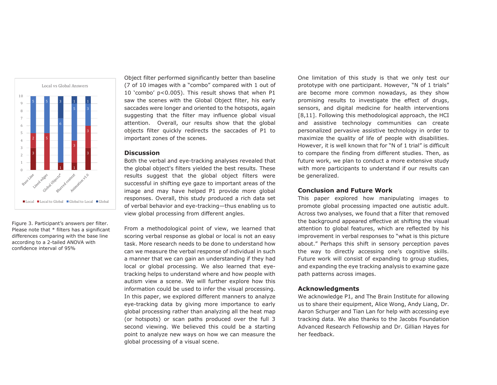

Figure 3. Participant's answers per filter. Please note that \* filters has a significant differences comparing with the base line according to a 2-tailed ANOVA with confidence interval of 95%

Object filter performed significantly better than baseline (7 of 10 images with a "combo" compared with 1 out of 10 'combo' p<0.005). This result shows that when P1 saw the scenes with the Global Object filter, his early saccades were longer and oriented to the hotspots, again suggesting that the filter may influence global visual attention. Overall, our results show that the global objects filter quickly redirects the saccades of P1 to important zones of the scenes.

#### **Discussion**

Both the verbal and eye-tracking analyses revealed that the global object's filters yielded the best results. These results suggest that the global object filters were successful in shifting eye gaze to important areas of the image and may have helped P1 provide more global responses. Overall, this study produced a rich data set of verbal behavior and eye-tracking—thus enabling us to view global processing from different angles.

From a methodological point of view, we learned that scoring verbal response as global or local is not an easy task. More research needs to be done to understand how can we measure the verbal response of individual in such a manner that we can gain an understanding if they had local or global processing. We also learned that eyetracking helps to understand where and how people with autism view a scene. We will further explore how this information could be used to infer the visual processing. In this paper, we explored different manners to analyze eye-tracking data by giving more importance to early global processing rather than analyzing all the heat map (or hotspots) or scan paths produced over the full 3 second viewing. We believed this could be a starting point to analyze new ways on how we can measure the global processing of a visual scene.

One limitation of this study is that we only test our prototype with one participant. However, "N of 1 trials" are become more common nowadays, as they show promising results to investigate the effect of drugs, sensors, and digital medicine for health interventions [8,11]. Following this methodological approach, the HCI and assistive technology communities can create personalized pervasive assistive technology in order to maximize the quality of life of people with disabilities. However, it is well known that for "N of 1 trial" is difficult to compare the finding from different studies. Then, as future work, we plan to conduct a more extensive study with more participants to understand if our results can be generalized.

#### **Conclusion and Future Work**

This paper explored how manipulating images to promote global processing impacted one autistic adult. Across two analyses, we found that a filter that removed the background appeared effective at shifting the visual attention to global features, which are reflected by his improvement in verbal responses to "what is this picture about." Perhaps this shift in sensory perception paves the way to directly accessing one's cognitive skills. Future work will consist of expanding to group studies, and expanding the eye tracking analysis to examine gaze path patterns across images.

#### **Acknowledgments**

We acknowledge P1, and The Brain Institute for allowing us to share their equipment, Alice Wong, Andy Liang, Dr. Aaron Schurger and Tian Lan for help with accessing eye tracking data. We also thanks to the Jacobs Foundation Advanced Research Fellowship and Dr. Gillian Hayes for her feedback.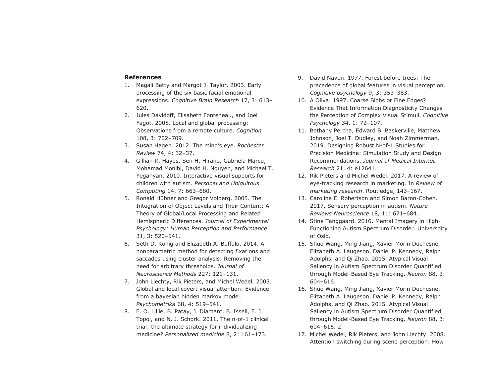#### **References**

- 1. Magali Batty and Margot J. Taylor. 2003. Early processing of the six basic facial emotional expressions. *Cognitive Brain Research* 17, 3: 613– 620.
- 2. Jules Davidoff, Elisabeth Fonteneau, and Joel Fagot. 2008. Local and global processing: Observations from a remote culture. *Cognition* 108, 3: 702–709.
- 3. Susan Hagen. 2012. The mind's eye. *Rochester Review* 74, 4: 32–37.
- 4. Gillian R. Hayes, Sen H. Hirano, Gabriela Marcu, Mohamad Monibi, David H. Nguyen, and Michael T. Yeganyan. 2010. Interactive visual supports for children with autism. *Personal and Ubiquitous Computing* 14, 7: 663–680.
- 5. Ronald Hübner and Gregor Volberg. 2005. The Integration of Object Levels and Their Content: A Theory of Global/Local Processing and Related Hemispheric Differences. *Journal of Experimental Psychology: Human Perception and Performance* 31, 3: 520–541.
- 6. Seth D. König and Elizabeth A. Buffalo. 2014. A nonparametric method for detecting fixations and saccades using cluster analysis: Removing the need for arbitrary thresholds. *Journal of Neuroscience Methods* 227: 121–131.
- 7. John Liechty, Rik Pieters, and Michel Wedel. 2003. Global and local covert visual attention: Evidence from a bayesian hidden markov model. *Psychometrika* 68, 4: 519–541.
- 8. E. O. Lillie, B. Patay, J. Diamant, B. Issell, E. J. Topol, and N. J. Schork. 2011. The n-of-1 clinical trial: the ultimate strategy for individualizing medicine? *Personalized medicine* 8, 2: 161–173.
- 9. David Navon. 1977. Forest before trees: The precedence of global features in visual perception. *Cognitive psychology* 9, 3: 353–383.
- 10. A Oliva. 1997. Coarse Blobs or Fine Edges? Evidence That Information Diagnosticity Changes the Perception of Complex Visual Stimuli. *Cognitive Psychology* 34, 1: 72–107.
- 11. Bethany Percha, Edward B. Baskerville, Matthew Johnson, Joel T. Dudley, and Noah Zimmerman. 2019. Designing Robust N-of-1 Studies for Precision Medicine: Simulation Study and Design Recommendations. *Journal of Medical Internet Research* 21, 4: e12641.
- 12. Rik Pieters and Michel Wedel. 2017. A review of eye-tracking research in marketing. In *Review of marketing research*. Routledge, 143–167.
- 13. Caroline E. Robertson and Simon Baron-Cohen. 2017. Sensory perception in autism. *Nature Reviews Neuroscience* 18, 11: 671–684.
- 14. Stine Tanggaard. 2016. Mental Imagery in High-Functioning Autism Spectrum Disorder. Universdity of Oslo.
- 15. Shuo Wang, Ming Jiang, Xavier Morin Duchesne, Elizabeth A. Laugeson, Daniel P. Kennedy, Ralph Adolphs, and Qi Zhao. 2015. Atypical Visual Saliency in Autism Spectrum Disorder Quantified through Model-Based Eye Tracking. *Neuron* 88, 3: 604–616.
- 16. Shuo Wang, Ming Jiang, Xavier Morin Duchesne, Elizabeth A. Laugeson, Daniel P. Kennedy, Ralph Adolphs, and Qi Zhao. 2015. Atypical Visual Saliency in Autism Spectrum Disorder Quantified through Model-Based Eye Tracking. *Neuron* 88, 3: 604–616. 2
- 17. Michel Wedel, Rik Pieters, and John Liechty. 2008. Attention switching during scene perception: How